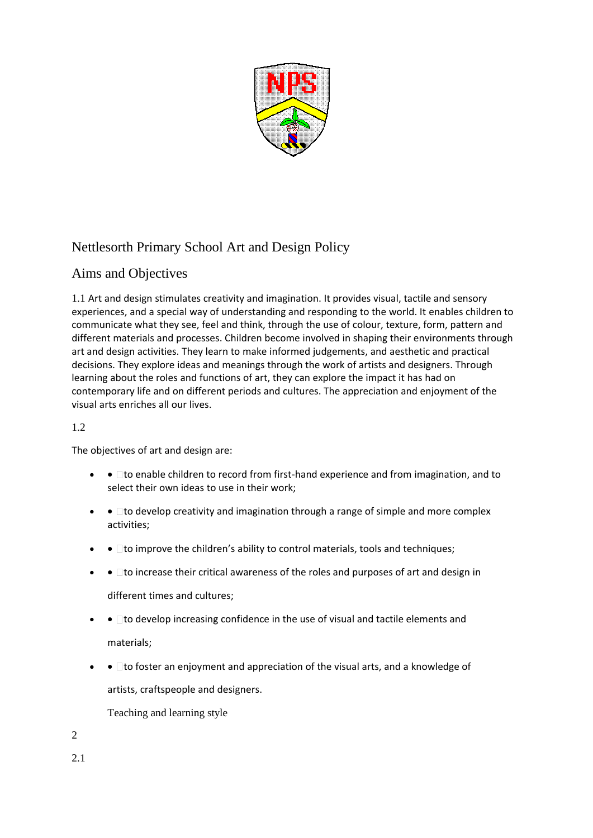

# Nettlesorth Primary School Art and Design Policy

# Aims and Objectives

1.1 Art and design stimulates creativity and imagination. It provides visual, tactile and sensory experiences, and a special way of understanding and responding to the world. It enables children to communicate what they see, feel and think, through the use of colour, texture, form, pattern and different materials and processes. Children become involved in shaping their environments through art and design activities. They learn to make informed judgements, and aesthetic and practical decisions. They explore ideas and meanings through the work of artists and designers. Through learning about the roles and functions of art, they can explore the impact it has had on contemporary life and on different periods and cultures. The appreciation and enjoyment of the visual arts enriches all our lives.

# 1.2

The objectives of art and design are:

- $\bullet$   $\bullet$   $\Box$  to enable children to record from first-hand experience and from imagination, and to select their own ideas to use in their work;
- $\bullet$   $\bullet$   $\Box$  to develop creativity and imagination through a range of simple and more complex activities;
- $\bullet$   $\bullet$   $\Box$  to improve the children's ability to control materials, tools and techniques;
- $\bullet$   $\Box$  to increase their critical awareness of the roles and purposes of art and design in different times and cultures;
- $\bullet$   $\Box$  to develop increasing confidence in the use of visual and tactile elements and materials;
- $\bullet$   $\Box$  to foster an enjoyment and appreciation of the visual arts, and a knowledge of artists, craftspeople and designers.

Teaching and learning style

2

2.1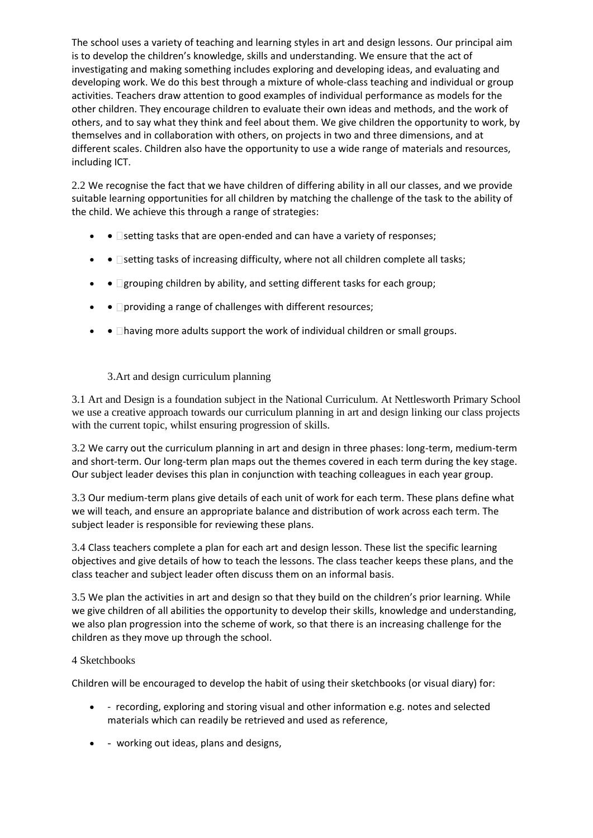The school uses a variety of teaching and learning styles in art and design lessons. Our principal aim is to develop the children's knowledge, skills and understanding. We ensure that the act of investigating and making something includes exploring and developing ideas, and evaluating and developing work. We do this best through a mixture of whole-class teaching and individual or group activities. Teachers draw attention to good examples of individual performance as models for the other children. They encourage children to evaluate their own ideas and methods, and the work of others, and to say what they think and feel about them. We give children the opportunity to work, by themselves and in collaboration with others, on projects in two and three dimensions, and at different scales. Children also have the opportunity to use a wide range of materials and resources, including ICT.

2.2 We recognise the fact that we have children of differing ability in all our classes, and we provide suitable learning opportunities for all children by matching the challenge of the task to the ability of the child. We achieve this through a range of strategies:

- $\bullet$   $\bullet$   $\Box$  setting tasks that are open-ended and can have a variety of responses;
- $\bullet$   $\blacksquare$  setting tasks of increasing difficulty, where not all children complete all tasks;
- •  $\Box$ grouping children by ability, and setting different tasks for each group;
- $\bullet$   $\bullet$   $\Box$  providing a range of challenges with different resources;
- $\bullet$   $\blacksquare$  having more adults support the work of individual children or small groups.

# 3.Art and design curriculum planning

3.1 Art and Design is a foundation subject in the National Curriculum. At Nettlesworth Primary School we use a creative approach towards our curriculum planning in art and design linking our class projects with the current topic, whilst ensuring progression of skills.

3.2 We carry out the curriculum planning in art and design in three phases: long-term, medium-term and short-term. Our long-term plan maps out the themes covered in each term during the key stage. Our subject leader devises this plan in conjunction with teaching colleagues in each year group.

3.3 Our medium-term plans give details of each unit of work for each term. These plans define what we will teach, and ensure an appropriate balance and distribution of work across each term. The subject leader is responsible for reviewing these plans.

3.4 Class teachers complete a plan for each art and design lesson. These list the specific learning objectives and give details of how to teach the lessons. The class teacher keeps these plans, and the class teacher and subject leader often discuss them on an informal basis.

3.5 We plan the activities in art and design so that they build on the children's prior learning. While we give children of all abilities the opportunity to develop their skills, knowledge and understanding, we also plan progression into the scheme of work, so that there is an increasing challenge for the children as they move up through the school.

#### 4 Sketchbooks

Children will be encouraged to develop the habit of using their sketchbooks (or visual diary) for:

- recording, exploring and storing visual and other information e.g. notes and selected materials which can readily be retrieved and used as reference,
- working out ideas, plans and designs,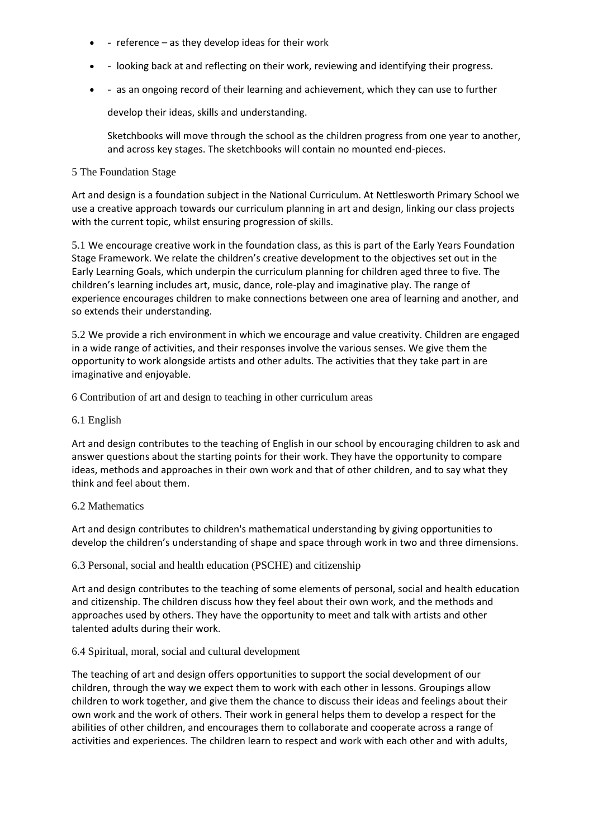- $\bullet$  reference as they develop ideas for their work
- looking back at and reflecting on their work, reviewing and identifying their progress.
- as an ongoing record of their learning and achievement, which they can use to further

develop their ideas, skills and understanding.

Sketchbooks will move through the school as the children progress from one year to another, and across key stages. The sketchbooks will contain no mounted end-pieces.

#### 5 The Foundation Stage

Art and design is a foundation subject in the National Curriculum. At Nettlesworth Primary School we use a creative approach towards our curriculum planning in art and design, linking our class projects with the current topic, whilst ensuring progression of skills.

5.1 We encourage creative work in the foundation class, as this is part of the Early Years Foundation Stage Framework. We relate the children's creative development to the objectives set out in the Early Learning Goals, which underpin the curriculum planning for children aged three to five. The children's learning includes art, music, dance, role-play and imaginative play. The range of experience encourages children to make connections between one area of learning and another, and so extends their understanding.

5.2 We provide a rich environment in which we encourage and value creativity. Children are engaged in a wide range of activities, and their responses involve the various senses. We give them the opportunity to work alongside artists and other adults. The activities that they take part in are imaginative and enjoyable.

6 Contribution of art and design to teaching in other curriculum areas

#### 6.1 English

Art and design contributes to the teaching of English in our school by encouraging children to ask and answer questions about the starting points for their work. They have the opportunity to compare ideas, methods and approaches in their own work and that of other children, and to say what they think and feel about them.

#### 6.2 Mathematics

Art and design contributes to children's mathematical understanding by giving opportunities to develop the children's understanding of shape and space through work in two and three dimensions.

#### 6.3 Personal, social and health education (PSCHE) and citizenship

Art and design contributes to the teaching of some elements of personal, social and health education and citizenship. The children discuss how they feel about their own work, and the methods and approaches used by others. They have the opportunity to meet and talk with artists and other talented adults during their work.

#### 6.4 Spiritual, moral, social and cultural development

The teaching of art and design offers opportunities to support the social development of our children, through the way we expect them to work with each other in lessons. Groupings allow children to work together, and give them the chance to discuss their ideas and feelings about their own work and the work of others. Their work in general helps them to develop a respect for the abilities of other children, and encourages them to collaborate and cooperate across a range of activities and experiences. The children learn to respect and work with each other and with adults,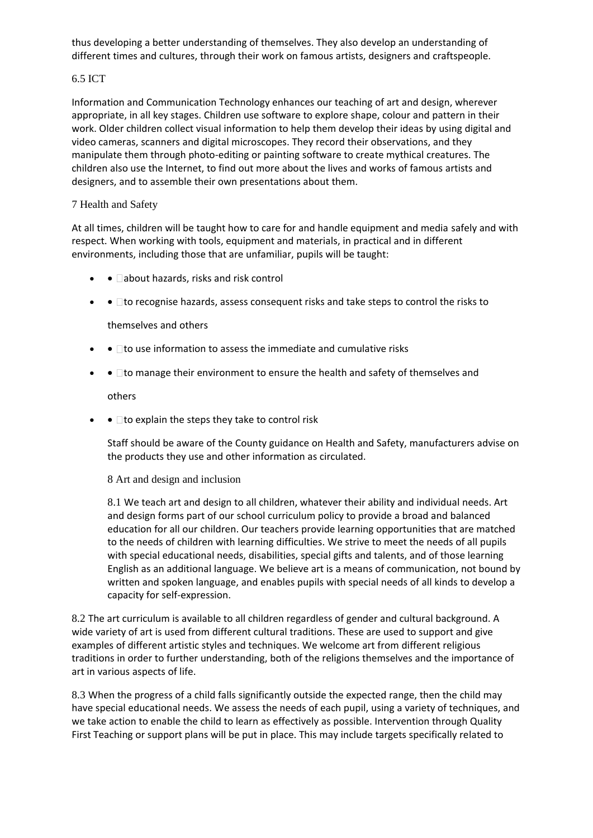thus developing a better understanding of themselves. They also develop an understanding of different times and cultures, through their work on famous artists, designers and craftspeople.

# 6.5 ICT

Information and Communication Technology enhances our teaching of art and design, wherever appropriate, in all key stages. Children use software to explore shape, colour and pattern in their work. Older children collect visual information to help them develop their ideas by using digital and video cameras, scanners and digital microscopes. They record their observations, and they manipulate them through photo-editing or painting software to create mythical creatures. The children also use the Internet, to find out more about the lives and works of famous artists and designers, and to assemble their own presentations about them.

# 7 Health and Safety

At all times, children will be taught how to care for and handle equipment and media safely and with respect. When working with tools, equipment and materials, in practical and in different environments, including those that are unfamiliar, pupils will be taught:

- $\bullet$   $\bullet$   $\Box$ about hazards, risks and risk control
- $\bullet$   $\bullet$   $\Box$  to recognise hazards, assess consequent risks and take steps to control the risks to

themselves and others

- $\bullet$   $\Box$  to use information to assess the immediate and cumulative risks
- $\bullet$   $\blacksquare$  to manage their environment to ensure the health and safety of themselves and

others

 $\bullet$   $\bullet$   $\Box$  to explain the steps they take to control risk

Staff should be aware of the County guidance on Health and Safety, manufacturers advise on the products they use and other information as circulated.

8 Art and design and inclusion

8.1 We teach art and design to all children, whatever their ability and individual needs. Art and design forms part of our school curriculum policy to provide a broad and balanced education for all our children. Our teachers provide learning opportunities that are matched to the needs of children with learning difficulties. We strive to meet the needs of all pupils with special educational needs, disabilities, special gifts and talents, and of those learning English as an additional language. We believe art is a means of communication, not bound by written and spoken language, and enables pupils with special needs of all kinds to develop a capacity for self-expression.

8.2 The art curriculum is available to all children regardless of gender and cultural background. A wide variety of art is used from different cultural traditions. These are used to support and give examples of different artistic styles and techniques. We welcome art from different religious traditions in order to further understanding, both of the religions themselves and the importance of art in various aspects of life.

8.3 When the progress of a child falls significantly outside the expected range, then the child may have special educational needs. We assess the needs of each pupil, using a variety of techniques, and we take action to enable the child to learn as effectively as possible. Intervention through Quality First Teaching or support plans will be put in place. This may include targets specifically related to